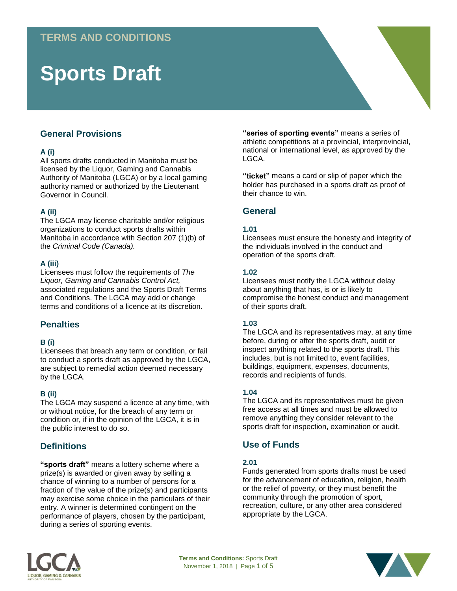# **Sports Draft**

# **General Provisions**

## **A (i)**

All sports drafts conducted in Manitoba must be licensed by the Liquor, Gaming and Cannabis Authority of Manitoba (LGCA) or by a local gaming authority named or authorized by the Lieutenant Governor in Council.

## **A (ii)**

The LGCA may license charitable and/or religious organizations to conduct sports drafts within Manitoba in accordance with Section 207 (1)(b) of the *Criminal Code (Canada).* 

#### **A (iii)**

Licensees must follow the requirements of *The Liquor, Gaming and Cannabis Control Act,* associated regulations and the Sports Draft Terms and Conditions. The LGCA may add or change terms and conditions of a licence at its discretion.

# **Penalties**

#### **B (i)**

Licensees that breach any term or condition, or fail to conduct a sports draft as approved by the LGCA, are subject to remedial action deemed necessary by the LGCA.

# **B (ii)**

The LGCA may suspend a licence at any time, with or without notice, for the breach of any term or condition or, if in the opinion of the LGCA, it is in the public interest to do so.

# **Definitions**

**"sports draft"** means a lottery scheme where a prize(s) is awarded or given away by selling a chance of winning to a number of persons for a fraction of the value of the prize(s) and participants may exercise some choice in the particulars of their entry. A winner is determined contingent on the performance of players, chosen by the participant, during a series of sporting events.

**"series of sporting events"** means a series of athletic competitions at a provincial, interprovincial, national or international level, as approved by the LGCA.

**"ticket"** means a card or slip of paper which the holder has purchased in a sports draft as proof of their chance to win.

# **General**

#### **1.01**

Licensees must ensure the honesty and integrity of the individuals involved in the conduct and operation of the sports draft.

#### **1.02**

Licensees must notify the LGCA without delay about anything that has, is or is likely to compromise the honest conduct and management of their sports draft.

#### **1.03**

The LGCA and its representatives may, at any time before, during or after the sports draft, audit or inspect anything related to the sports draft. This includes, but is not limited to, event facilities, buildings, equipment, expenses, documents, records and recipients of funds.

#### **1.04**

The LGCA and its representatives must be given free access at all times and must be allowed to remove anything they consider relevant to the sports draft for inspection, examination or audit.

# **Use of Funds**

# **2.01**

Funds generated from sports drafts must be used for the advancement of education, religion, health or the relief of poverty, or they must benefit the community through the promotion of sport, recreation, culture, or any other area considered appropriate by the LGCA.



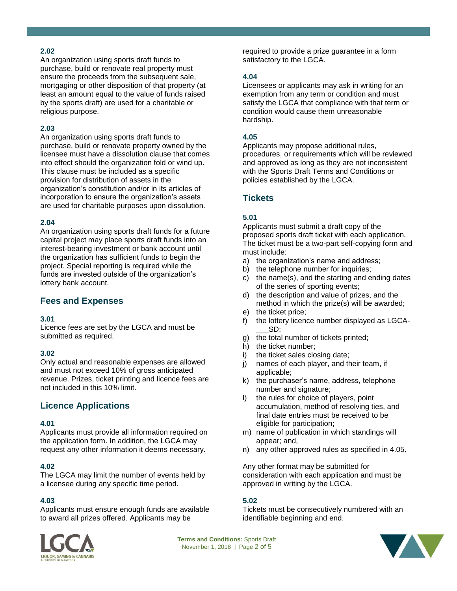## **2.02**

An organization using sports draft funds to purchase, build or renovate real property must ensure the proceeds from the subsequent sale, mortgaging or other disposition of that property (at least an amount equal to the value of funds raised by the sports draft) are used for a charitable or religious purpose.

#### **2.03**

An organization using sports draft funds to purchase, build or renovate property owned by the licensee must have a dissolution clause that comes into effect should the organization fold or wind up. This clause must be included as a specific provision for distribution of assets in the organization's constitution and/or in its articles of incorporation to ensure the organization's assets are used for charitable purposes upon dissolution.

# **2.04**

An organization using sports draft funds for a future capital project may place sports draft funds into an interest-bearing investment or bank account until the organization has sufficient funds to begin the project. Special reporting is required while the funds are invested outside of the organization's lottery bank account.

# **Fees and Expenses**

#### **3.01**

Licence fees are set by the LGCA and must be submitted as required.

#### **3.02**

Only actual and reasonable expenses are allowed and must not exceed 10% of gross anticipated revenue. Prizes, ticket printing and licence fees are not included in this 10% limit.

# **Licence Applications**

#### **4.01**

Applicants must provide all information required on the application form. In addition, the LGCA may request any other information it deems necessary.

#### **4.02**

The LGCA may limit the number of events held by a licensee during any specific time period.

#### **4.03**

Applicants must ensure enough funds are available to award all prizes offered. Applicants may be

required to provide a prize guarantee in a form satisfactory to the LGCA.

#### **4.04**

Licensees or applicants may ask in writing for an exemption from any term or condition and must satisfy the LGCA that compliance with that term or condition would cause them unreasonable hardship.

## **4.05**

Applicants may propose additional rules, procedures, or requirements which will be reviewed and approved as long as they are not inconsistent with the Sports Draft Terms and Conditions or policies established by the LGCA.

# **Tickets**

# **5.01**

Applicants must submit a draft copy of the proposed sports draft ticket with each application. The ticket must be a two-part self-copying form and must include:

- a) the organization's name and address;
- b) the telephone number for inquiries;
- c) the name(s), and the starting and ending dates of the series of sporting events;
- d) the description and value of prizes, and the method in which the prize(s) will be awarded;
- e) the ticket price;
- f) the lottery licence number displayed as LGCA- \_\_\_SD;
- g) the total number of tickets printed;
- h) the ticket number;
- i) the ticket sales closing date;
- j) names of each player, and their team, if applicable;
- k) the purchaser's name, address, telephone number and signature;
- l) the rules for choice of players, point accumulation, method of resolving ties, and final date entries must be received to be eligible for participation;
- m) name of publication in which standings will appear; and,
- n) any other approved rules as specified in 4.05.

Any other format may be submitted for consideration with each application and must be approved in writing by the LGCA.

# **5.02**

Tickets must be consecutively numbered with an identifiable beginning and end.



**Terms and Conditions:** Sports Draft November 1, 2018 | Page 2 of 5

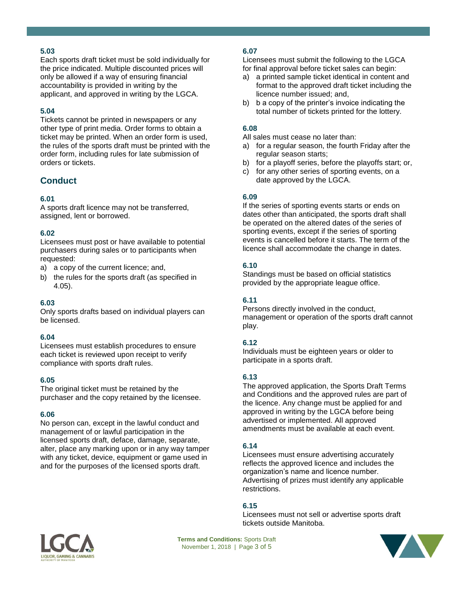# **5.03**

Each sports draft ticket must be sold individually for the price indicated. Multiple discounted prices will only be allowed if a way of ensuring financial accountability is provided in writing by the applicant, and approved in writing by the LGCA.

# **5.04**

Tickets cannot be printed in newspapers or any other type of print media. Order forms to obtain a ticket may be printed. When an order form is used, the rules of the sports draft must be printed with the order form, including rules for late submission of orders or tickets.

# **Conduct**

## **6.01**

A sports draft licence may not be transferred, assigned, lent or borrowed.

#### **6.02**

Licensees must post or have available to potential purchasers during sales or to participants when requested:

- a) a copy of the current licence; and,
- b) the rules for the sports draft (as specified in 4.05).

#### **6.03**

Only sports drafts based on individual players can be licensed.

#### **6.04**

Licensees must establish procedures to ensure each ticket is reviewed upon receipt to verify compliance with sports draft rules.

#### **6.05**

The original ticket must be retained by the purchaser and the copy retained by the licensee.

#### **6.06**

No person can, except in the lawful conduct and management of or lawful participation in the licensed sports draft, deface, damage, separate, alter, place any marking upon or in any way tamper with any ticket, device, equipment or game used in and for the purposes of the licensed sports draft.

## **6.07**

Licensees must submit the following to the LGCA for final approval before ticket sales can begin:

- a) a printed sample ticket identical in content and format to the approved draft ticket including the licence number issued; and,
- b) b a copy of the printer's invoice indicating the total number of tickets printed for the lottery.

#### **6.08**

All sales must cease no later than:

- a) for a regular season, the fourth Friday after the regular season starts;
- b) for a playoff series, before the playoffs start; or,
- c) for any other series of sporting events, on a date approved by the LGCA.

#### **6.09**

If the series of sporting events starts or ends on dates other than anticipated, the sports draft shall be operated on the altered dates of the series of sporting events, except if the series of sporting events is cancelled before it starts. The term of the licence shall accommodate the change in dates.

#### **6.10**

Standings must be based on official statistics provided by the appropriate league office.

#### **6.11**

Persons directly involved in the conduct, management or operation of the sports draft cannot play.

#### **6.12**

Individuals must be eighteen years or older to participate in a sports draft.

#### **6.13**

The approved application, the Sports Draft Terms and Conditions and the approved rules are part of the licence. Any change must be applied for and approved in writing by the LGCA before being advertised or implemented. All approved amendments must be available at each event.

#### **6.14**

Licensees must ensure advertising accurately reflects the approved licence and includes the organization's name and licence number. Advertising of prizes must identify any applicable restrictions.

#### **6.15**

Licensees must not sell or advertise sports draft tickets outside Manitoba.



**Terms and Conditions:** Sports Draft November 1, 2018 | Page 3 of 5

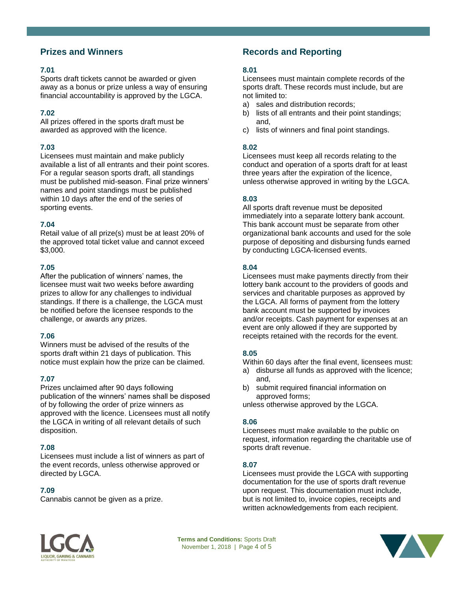# **Prizes and Winners**

#### **7.01**

Sports draft tickets cannot be awarded or given away as a bonus or prize unless a way of ensuring financial accountability is approved by the LGCA.

# **7.02**

All prizes offered in the sports draft must be awarded as approved with the licence.

# **7.03**

Licensees must maintain and make publicly available a list of all entrants and their point scores. For a regular season sports draft, all standings must be published mid-season. Final prize winners' names and point standings must be published within 10 days after the end of the series of sporting events.

# **7.04**

Retail value of all prize(s) must be at least 20% of the approved total ticket value and cannot exceed \$3,000.

## **7.05**

After the publication of winners' names, the licensee must wait two weeks before awarding prizes to allow for any challenges to individual standings. If there is a challenge, the LGCA must be notified before the licensee responds to the challenge, or awards any prizes.

# **7.06**

Winners must be advised of the results of the sports draft within 21 days of publication. This notice must explain how the prize can be claimed.

# **7.07**

Prizes unclaimed after 90 days following publication of the winners' names shall be disposed of by following the order of prize winners as approved with the licence. Licensees must all notify the LGCA in writing of all relevant details of such disposition.

# **7.08**

Licensees must include a list of winners as part of the event records, unless otherwise approved or directed by LGCA.

# **7.09**

Cannabis cannot be given as a prize.

# **Records and Reporting**

## **8.01**

Licensees must maintain complete records of the sports draft. These records must include, but are not limited to:

- a) sales and distribution records;
- b) lists of all entrants and their point standings; and,
- c) lists of winners and final point standings.

# **8.02**

Licensees must keep all records relating to the conduct and operation of a sports draft for at least three years after the expiration of the licence, unless otherwise approved in writing by the LGCA.

# **8.03**

All sports draft revenue must be deposited immediately into a separate lottery bank account. This bank account must be separate from other organizational bank accounts and used for the sole purpose of depositing and disbursing funds earned by conducting LGCA-licensed events.

#### **8.04**

Licensees must make payments directly from their lottery bank account to the providers of goods and services and charitable purposes as approved by the LGCA. All forms of payment from the lottery bank account must be supported by invoices and/or receipts. Cash payment for expenses at an event are only allowed if they are supported by receipts retained with the records for the event.

#### **8.05**

Within 60 days after the final event, licensees must:

- a) disburse all funds as approved with the licence; and,
- b) submit required financial information on approved forms;

unless otherwise approved by the LGCA.

#### **8.06**

Licensees must make available to the public on request, information regarding the charitable use of sports draft revenue.

# **8.07**

Licensees must provide the LGCA with supporting documentation for the use of sports draft revenue upon request. This documentation must include, but is not limited to, invoice copies, receipts and written acknowledgements from each recipient.



**Terms and Conditions:** Sports Draft November 1, 2018 | Page 4 of 5